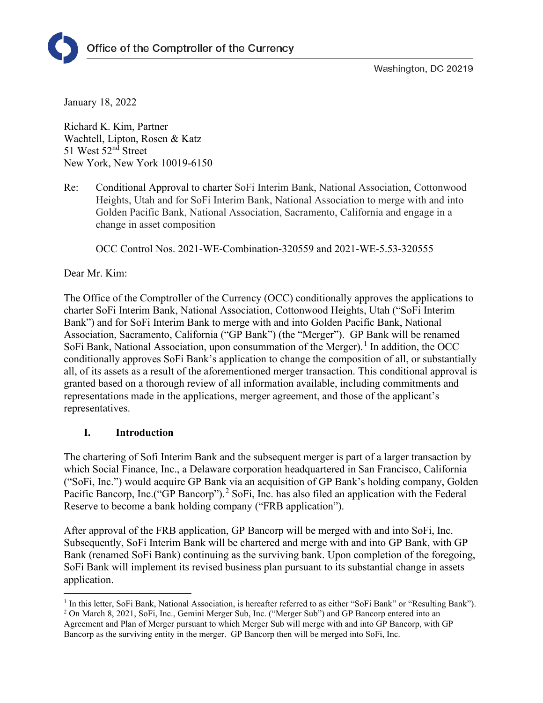

Washington, DC 20219

January 18, 2022

Richard K. Kim, Partner Wachtell, Lipton, Rosen & Katz 51 West 52<sup>nd</sup> Street New York, New York 10019-6150

Re: Conditional Approval to charter SoFi Interim Bank, National Association, Cottonwood Heights, Utah and for SoFi Interim Bank, National Association to merge with and into Golden Pacific Bank, National Association, Sacramento, California and engage in a change in asset composition

OCC Control Nos. 2021-WE-Combination-320559 and 2021-WE-5.53-320555

Dear Mr. Kim:

The Office of the Comptroller of the Currency (OCC) conditionally approves the applications to charter SoFi Interim Bank, National Association, Cottonwood Heights, Utah ("SoFi Interim Bank") and for SoFi Interim Bank to merge with and into Golden Pacific Bank, National Association, Sacramento, California ("GP Bank") (the "Merger"). GP Bank will be renamed SoFi Bank, National Association, upon consummation of the Merger).<sup>[1](#page-0-0)</sup> In addition, the OCC conditionally approves SoFi Bank's application to change the composition of all, or substantially all, of its assets as a result of the aforementioned merger transaction. This conditional approval is granted based on a thorough review of all information available, including commitments and representations made in the applications, merger agreement, and those of the applicant's representatives.

### **I. Introduction**

The chartering of Sofi Interim Bank and the subsequent merger is part of a larger transaction by which Social Finance, Inc., a Delaware corporation headquartered in San Francisco, California ("SoFi, Inc.") would acquire GP Bank via an acquisition of GP Bank's holding company, Golden Pacific Bancorp, Inc.("GP Bancorp").<sup>[2](#page-0-1)</sup> SoFi, Inc. has also filed an application with the Federal Reserve to become a bank holding company ("FRB application").

After approval of the FRB application, GP Bancorp will be merged with and into SoFi, Inc. Subsequently, SoFi Interim Bank will be chartered and merge with and into GP Bank, with GP Bank (renamed SoFi Bank) continuing as the surviving bank. Upon completion of the foregoing, SoFi Bank will implement its revised business plan pursuant to its substantial change in assets application.

<span id="page-0-0"></span> $<sup>1</sup>$  In this letter, SoFi Bank, National Association, is hereafter referred to as either "SoFi Bank" or "Resulting Bank").</sup>

<span id="page-0-1"></span><sup>2</sup> On March 8, 2021, SoFi, Inc., Gemini Merger Sub, Inc. ("Merger Sub") and GP Bancorp entered into an Agreement and Plan of Merger pursuant to which Merger Sub will merge with and into GP Bancorp, with GP Bancorp as the surviving entity in the merger. GP Bancorp then will be merged into SoFi, Inc.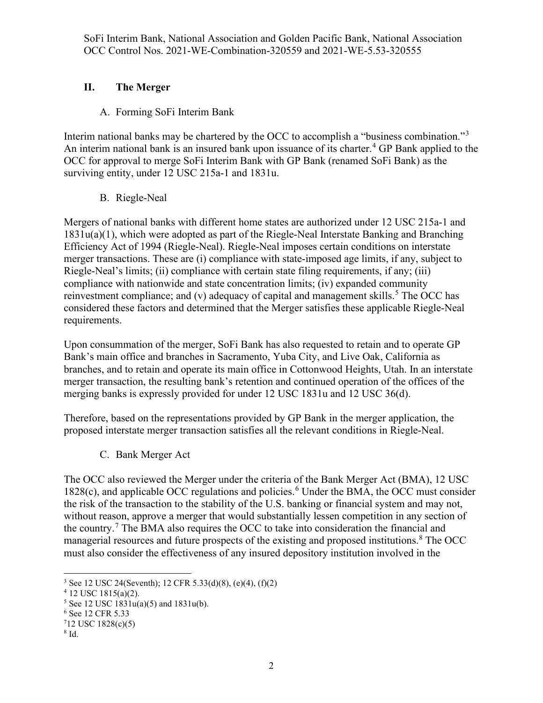# **II. The Merger**

# A. Forming SoFi Interim Bank

Interim national banks may be chartered by the OCC to accomplish a "business combination."<sup>[3](#page-1-0)</sup> An interim national bank is an insured bank upon issuance of its charter.<sup>[4](#page-1-1)</sup> GP Bank applied to the OCC for approval to merge SoFi Interim Bank with GP Bank (renamed SoFi Bank) as the surviving entity, under 12 USC 215a-1 and 1831u.

## B. Riegle-Neal

Mergers of national banks with different home states are authorized under 12 USC 215a-1 and 1831u(a)(1), which were adopted as part of the Riegle-Neal Interstate Banking and Branching Efficiency Act of 1994 (Riegle-Neal). Riegle-Neal imposes certain conditions on interstate merger transactions. These are (i) compliance with state-imposed age limits, if any, subject to Riegle-Neal's limits; (ii) compliance with certain state filing requirements, if any; (iii) compliance with nationwide and state concentration limits; (iv) expanded community reinvestment compliance; and (v) adequacy of capital and management skills.<sup>[5](#page-1-2)</sup> The OCC has considered these factors and determined that the Merger satisfies these applicable Riegle-Neal requirements.

Upon consummation of the merger, SoFi Bank has also requested to retain and to operate GP Bank's main office and branches in Sacramento, Yuba City, and Live Oak, California as branches, and to retain and operate its main office in Cottonwood Heights, Utah. In an interstate merger transaction, the resulting bank's retention and continued operation of the offices of the merging banks is expressly provided for under 12 USC 1831u and 12 USC 36(d).

Therefore, based on the representations provided by GP Bank in the merger application, the proposed interstate merger transaction satisfies all the relevant conditions in Riegle-Neal.

C. Bank Merger Act

The OCC also reviewed the Merger under the criteria of the Bank Merger Act (BMA), 12 USC 1828(c), and applicable OCC regulations and policies.<sup>[6](#page-1-3)</sup> Under the BMA, the OCC must consider the risk of the transaction to the stability of the U.S. banking or financial system and may not, without reason, approve a merger that would substantially lessen competition in any section of the country.<sup>[7](#page-1-4)</sup> The BMA also requires the OCC to take into consideration the financial and managerial resources and future prospects of the existing and proposed institutions.<sup>[8](#page-1-5)</sup> The OCC must also consider the effectiveness of any insured depository institution involved in the

<span id="page-1-0"></span><sup>3</sup> See 12 USC 24(Seventh); 12 CFR 5.33(d)(8), (e)(4), (f)(2)

<span id="page-1-1"></span> $4$  12 USC 1815(a)(2).

<span id="page-1-2"></span> $5$  See 12 USC 1831u(a)(5) and 1831u(b).

<span id="page-1-4"></span><span id="page-1-3"></span><sup>6</sup> See 12 CFR 5.33

 $712$  USC 1828(c)(5)

<span id="page-1-5"></span><sup>8</sup> Id.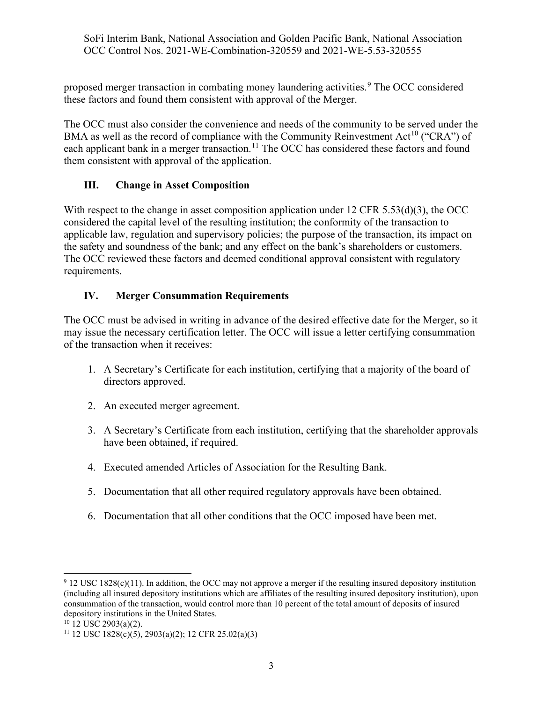proposed merger transaction in combating money laundering activities.<sup>[9](#page-2-0)</sup> The OCC considered these factors and found them consistent with approval of the Merger.

The OCC must also consider the convenience and needs of the community to be served under the BMA as well as the record of compliance with the Community Reinvestment Act<sup>[10](#page-2-1)</sup> ("CRA") of each applicant bank in a merger transaction.<sup>[11](#page-2-2)</sup> The OCC has considered these factors and found them consistent with approval of the application.

## **III. Change in Asset Composition**

With respect to the change in asset composition application under 12 CFR 5.53(d)(3), the OCC considered the capital level of the resulting institution; the conformity of the transaction to applicable law, regulation and supervisory policies; the purpose of the transaction, its impact on the safety and soundness of the bank; and any effect on the bank's shareholders or customers. The OCC reviewed these factors and deemed conditional approval consistent with regulatory requirements.

### **IV. Merger Consummation Requirements**

The OCC must be advised in writing in advance of the desired effective date for the Merger, so it may issue the necessary certification letter. The OCC will issue a letter certifying consummation of the transaction when it receives:

- 1. A Secretary's Certificate for each institution, certifying that a majority of the board of directors approved.
- 2. An executed merger agreement.
- 3. A Secretary's Certificate from each institution, certifying that the shareholder approvals have been obtained, if required.
- 4. Executed amended Articles of Association for the Resulting Bank.
- 5. Documentation that all other required regulatory approvals have been obtained.
- 6. Documentation that all other conditions that the OCC imposed have been met.

<span id="page-2-0"></span> $9$  12 USC 1828(c)(11). In addition, the OCC may not approve a merger if the resulting insured depository institution (including all insured depository institutions which are affiliates of the resulting insured depository institution), upon consummation of the transaction, would control more than 10 percent of the total amount of deposits of insured depository institutions in the United States.<br><sup>10</sup> 12 USC 2903(a)(2).

<span id="page-2-1"></span>

<span id="page-2-2"></span><sup>&</sup>lt;sup>11</sup> 12 USC 1828(c)(5), 2903(a)(2); 12 CFR 25.02(a)(3)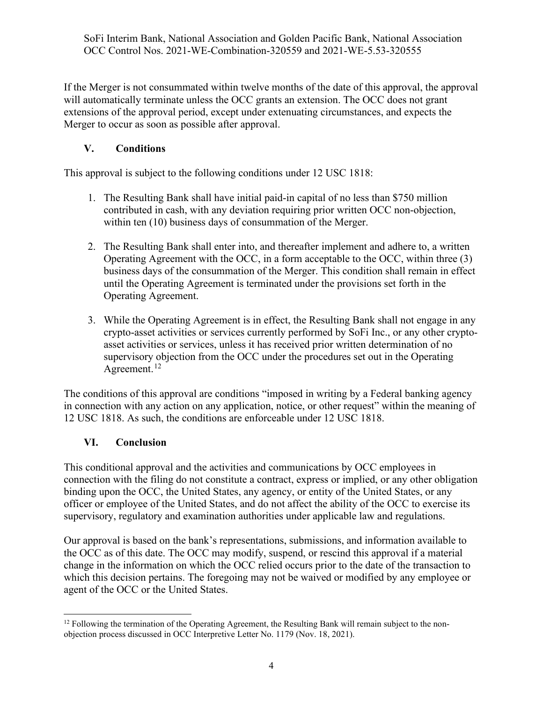If the Merger is not consummated within twelve months of the date of this approval, the approval will automatically terminate unless the OCC grants an extension. The OCC does not grant extensions of the approval period, except under extenuating circumstances, and expects the Merger to occur as soon as possible after approval.

# **V. Conditions**

This approval is subject to the following conditions under 12 USC 1818:

- 1. The Resulting Bank shall have initial paid-in capital of no less than \$750 million contributed in cash, with any deviation requiring prior written OCC non-objection, within ten (10) business days of consummation of the Merger.
- 2. The Resulting Bank shall enter into, and thereafter implement and adhere to, a written Operating Agreement with the OCC, in a form acceptable to the OCC, within three (3) business days of the consummation of the Merger. This condition shall remain in effect until the Operating Agreement is terminated under the provisions set forth in the Operating Agreement.
- 3. While the Operating Agreement is in effect, the Resulting Bank shall not engage in any crypto-asset activities or services currently performed by SoFi Inc., or any other cryptoasset activities or services, unless it has received prior written determination of no supervisory objection from the OCC under the procedures set out in the Operating Agreement.<sup>[12](#page-3-0)</sup>

The conditions of this approval are conditions "imposed in writing by a Federal banking agency in connection with any action on any application, notice, or other request" within the meaning of 12 USC 1818. As such, the conditions are enforceable under 12 USC 1818.

### **VI. Conclusion**

This conditional approval and the activities and communications by OCC employees in connection with the filing do not constitute a contract, express or implied, or any other obligation binding upon the OCC, the United States, any agency, or entity of the United States, or any officer or employee of the United States, and do not affect the ability of the OCC to exercise its supervisory, regulatory and examination authorities under applicable law and regulations.

Our approval is based on the bank's representations, submissions, and information available to the OCC as of this date. The OCC may modify, suspend, or rescind this approval if a material change in the information on which the OCC relied occurs prior to the date of the transaction to which this decision pertains. The foregoing may not be waived or modified by any employee or agent of the OCC or the United States.

<span id="page-3-0"></span> $12$  Following the termination of the Operating Agreement, the Resulting Bank will remain subject to the nonobjection process discussed in OCC Interpretive Letter No. 1179 (Nov. 18, 2021).